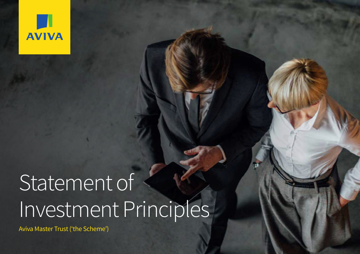

# Statement of Investment Principles

**Statement of Investment Principles** – Aviva Master Trust ('the Scheme')

Aviva Master Trust ('the Scheme')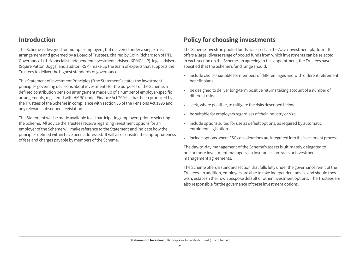#### **Introduction**

The Scheme is designed for multiple employers, but delivered under a single trust arrangement and governed by a Board of Trustees, chaired by Colin Richardson of PTL Governance Ltd. A specialist independent investment adviser (KPMG LLP), legal advisers (Squire Patton Boggs) and auditor (RSM) make up the team of experts that supports the Trustees to deliver the highest standards of governance.

This Statement of Investment Principles ("the Statement") states the investment principles governing decisions about investments for the purposes of the Scheme, a defined contribution pension arrangement made up of a number of employer-specific arrangements, registered with HMRC under Finance Act 2004. It has been produced by the Trustees of the Scheme in compliance with section 35 of the Pensions Act 1995 and any relevant subsequent legislation.

The Statement will be made available to all participating employers prior to selecting the Scheme. All advice the Trustees receive regarding investment options for an employer of the Scheme will make reference to the Statement and indicate how the principles defined within have been addressed. It will also consider the appropriateness of fees and charges payable by members of the Scheme.

#### **Policy for choosing investments**

The Scheme invests in pooled funds accessed via the Aviva investment platform. It offers a large, diverse range of pooled funds from which investments can be selected in each section on the Scheme. In agreeing to this appointment, the Trustees have specified that the Scheme's fund range should:

- include choices suitable for members of different ages and with different retirement benefit plans
- be designed to deliver long-term positive returns taking account of a number of different risks
- seek, where possible, to mitigate the risks described below
- be suitable for employers regardless of their industry or size
- include options suited for use as default options, as required by automatic enrolment legislation.
- include options where ESG considerations are integrated into the investment process.

The day-to-day management of the Scheme's assets is ultimately delegated to one or more investment managers via insurance contracts or investment management agreements.

The Scheme offers a standard section that falls fully under the governance remit of the Trustees. In addition, employers are able to take independent advice and should they wish, establish their own bespoke default or other investment options. The Trustees are also responsible for the governance of these investment options.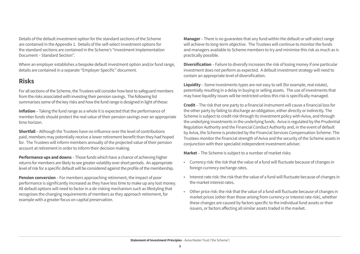Details of the default investment option for the standard sections of the Scheme are contained in the Appendix 1. Details of the self-select investment options for the standard sections are contained in the Scheme's "Investment Implementation Document – Standard Section".

Where an employer establishes a bespoke default investment option and/or fund range, details are contained in a separate "Employer Specific" document.

#### **Risks**

For all sections of the Scheme, the Trustees will consider how best to safeguard members from the risks associated with investing their pension savings. The following list summarises some of the key risks and how the fund range is designed in light of these:

**Inflation** – Taking the fund range as a whole it is expected that the performance of member funds should protect the real value of their pension savings over an appropriate time horizon.

**Shortfall** – Although the Trustees have no influence over the level of contributions paid, members may potentially receive a lower retirement benefit than they had hoped for. The Trustees will inform members annually of the projected value of their pension account at retirement in order to inform their decision making.

**Performance ups and downs** – Those funds which have a chance of achieving higher returns for members are likely to see greater volatility over short periods. An appropriate level of risk for a specific default will be considered against the profile of the membership.

**Pension conversion** – For members approaching retirement, the impact of poor performance is significantly increased as they have less time to make up any lost money. All default options will need to factor in a de-risking mechanism such as lifestyling that recognises the changing requirements of members as they approach retirement, for example with a greater focus on capital preservation.

**Manager** – There is no guarantee that any fund within the default or self-select range will achieve its long-term objective. The Trustees will continue to monitor the funds and managers available to Scheme members to try and minimise this risk as much as is practically possible.

**Diversification** – Failure to diversify increases the risk of losing money if one particular investment does not perform as expected. A default investment strategy will need to contain an appropriate level of diversification.

**Liquidity** – Some investments types are not easy to sell (for example, real estate), potentially resulting in a delay in buying or selling assets. The use of investments that may have liquidity issues will be restricted unless this risk is specifically managed.

**Credit** – The risk that one party to a financial instrument will cause a financial loss for the other party by failing to discharge an obligation, either directly or indirectly. The Scheme is subject to credit risk through its investment policy with Aviva, and through the underlying investments in the underlying funds. Aviva is regulated by the Prudential Regulation Authority and the Financial Conduct Authority and, in the event of default by Aviva, the Scheme is protected by the Financial Services Compensation Scheme. The Trustees monitor the financial strength of Aviva and the security of the Scheme assets in conjunction with their specialist independent investment adviser.

**Market** – The Scheme is subject to a number of market risks:

- Currency risk: the risk that the value of a fund will fluctuate because of changes in foreign currency exchange rates.
- Interest rate risk: the risk that the value of a fund will fluctuate because of changes in the market interest rates.
- Other price risk: the risk that the value of a fund will fluctuate because of changes in market prices (other than those arising from currency or interest rate risk), whether these changes are caused by factors specific to the individual fund assets or their issuers, or factors affecting all similar assets traded in the market.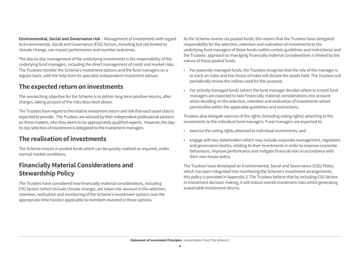**Environmental, Social and Governance risk** – Management of investments with regard to Environmental, Social and Governance (ESG) factors, including but not limited to climate change, can impact performance and member outcomes.

The day-to-day management of the underlying investments is the responsibility of the underlying fund managers, including the direct management of credit and market risks. The Trustees monitor the Scheme's investment options and the fund managers on a regular basis, with the help from its specialist independent investment adviser.

#### **The expected return on investments**

The overarching objective for the Scheme is to deliver long term positive returns, after charges, taking account of the risks described above.

The Trustees have regard to the relative investment return and risk that each asset class is expected to provide. The Trustees are advised by their independent professional advisers on these matters, who they deem to be appropriately qualified experts. However, the dayto-day selection of investment is delegated to the investment managers.

#### **The realisation of investments**

The Scheme invests in pooled funds which can be quickly realised as required, under normal market conditions.

#### **Financially Material Considerations and Stewardship Policy**

The Trustees have considered how financially material considerations, including ESG factors (which include climate change), are taken into account in the selection, retention, realisation and monitoring of the Scheme's investment options over the appropriate time horizon applicable to members invested in those options.

As the Scheme invests via pooled funds, this means that the Trustees have delegated responsibility for the selection, retention and realisation of investments to the underlying fund managers of those funds (within certain guidelines and restrictions) and the Trustees' approach to managing financially material considerations is limited by the nature of those pooled funds.

- For passively managed funds, the Trustees recognise that the role of the manager is to track an index and the choice of index will dictate the assets held. The Trustees will periodically review the indices used for this purpose.
- For actively managed funds (where the fund manager decides where to invest) fund managers are expected to take financially material considerations into account when deciding on the selection, retention and realisation of investments where permissible within the applicable guidelines and instructions.

Trustees also delegate exercise of the rights (including voting rights) attaching to the investments to the individual fund managers. Fund managers are expected to:

- exercise the voting rights attached to individual investments; and
- engage with key stakeholders which may include corporate management, regulators and governance bodies, relating to their investments in order to improve corporate behaviours, improve performance and mitigate financial risks in accordance with their own house policy.

The Trustees have developed an Environmental, Social and Governance (ESG) Policy which has been integrated into monitoring the Scheme's investment arrangements, this policy is provided in Appendix 2. The Trustees believe that by including ESG factors in investment decision making, it will reduce overall investment risks whilst generating sustainable investment returns.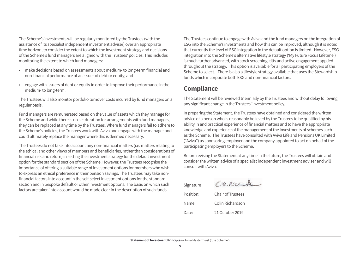The Scheme's investments will be regularly monitored by the Trustees (with the assistance of its specialist independent investment adviser) over an appropriate time horizon, to consider the extent to which the investment strategy and decisions of the Scheme's fund managers are aligned with the Trustees' policies. This includes monitoring the extent to which fund managers:

- make decisions based on assessments about medium- to long-term financial and non-financial performance of an issuer of debt or equity; and
- engage with issuers of debt or equity in order to improve their performance in the medium- to long-term.

The Trustees will also monitor portfolio turnover costs incurred by fund managers on a regular basis.

Fund managers are remunerated based on the value of assets which they manage for the Scheme and while there is no set duration for arrangements with fund managers, they can be replaced at any time by the Trustees. Where fund managers fail to adhere to the Scheme's policies, the Trustees work with Aviva and engage with the manager and could ultimately replace the manager where this is deemed necessary.

The Trustees do not take into account any non-financial matters (i.e. matters relating to the ethical and other views of members and beneficiaries, rather than considerations of financial risk and return) in setting the investment strategy for the default investment option for the standard section of the Scheme. However, the Trustees recognise the importance of offering a suitable range of investment options for members who wish to express an ethical preference in their pension savings. The Trustees may take nonfinancial factors into account in the self-select investment options for the standard section and in bespoke default or other investment options. The basis on which such factors are taken into account would be made clear in the description of such funds.

The Trustees continue to engage with Aviva and the fund managers on the integration of ESG into the Scheme's investments and how this can be improved, although it is noted that currently the level of ESG integration in the default option is limited. However, ESG integration into the Scheme's alternative lifestyle strategy ('My Future Focus Lifetime') is much further advanced, with stock screening, tilts and active engagement applied throughout the strategy. This option is available for all participating employers of the Scheme to select. There is also a lifestyle strategy available that uses the Stewardship funds which incorporate both ESG and non-financial factors.

#### **Compliance**

The Statement will be reviewed triennially by the Trustees and without delay following any significant change in the Trustees' investment policy.

In preparing the Statement, the Trustees have obtained and considered the written advice of a person who is reasonably believed by the Trustees to be qualified by his ability in and practical experience of financial matters and to have the appropriate knowledge and experience of the management of the investments of schemes such as the Scheme. The Trustees have consulted with Aviva Life and Pensions UK Limited ("Aviva") as sponsoring employer and the company appointed to act on behalf of the participating employers to the Scheme.

Before revising the Statement at any time in the future, the Trustees will obtain and consider the written advice of a specialist independent investment adviser and will consult with Aviva.

C.D. Rands Signature

Position: Chair of Trustees Name: Colin Richardson Date: 21 October 2019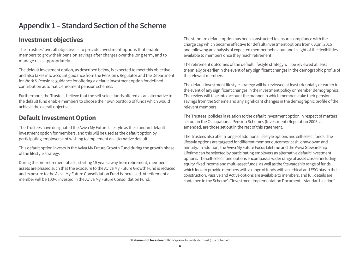# **Appendix 1 – Standard Section of the Scheme**

## **Investment objectives**

The Trustees' overall objective is to provide investment options that enable members to grow their pension savings after charges over the long term, and to manage risks appropriately.

The default investment option, as described below, is expected to meet this objective and also takes into account guidance from the Pension's Regulator and the Department for Work & Pensions guidance for offering a default investment option for defined contribution automatic enrolment pension schemes.

Furthermore, the Trustees believe that the self-select funds offered as an alternative to the default fund enable members to choose their own portfolio of funds which would achieve the overall objective.

## **Default Investment Option**

The Trustees have designated the Aviva My Future Lifestyle as the standard default investment option for members, and this will be used as the default option by participating employers not wishing to implement an alternative default.

This default option invests in the Aviva My Future Growth Fund during the growth phase of the lifestyle strategy.

During the pre-retirement phase, starting 15 years away from retirement, members' assets are phased such that the exposure to the Aviva My Future Growth Fund is reduced and exposure to the Aviva My Future Consolidation Fund is increased. At retirement a member will be 100% invested in the Aviva My Future Consolidation Fund.

The standard default option has been constructed to ensure compliance with the charge cap which became effective for default investment options from 6 April 2015 and following an analysis of expected member behaviour and in light of the flexibilities available to members once they reach retirement.

The retirement outcomes of the default lifestyle strategy will be reviewed at least triennially or earlier in the event of any significant changes in the demographic profile of the relevant members.

The default investment lifestyle strategy will be reviewed at least triennially or earlier in the event of any significant changes in the investment policy or member demographics. The review will take into account the manner in which members take their pension savings from the Scheme and any significant changes in the demographic profile of the relevant members.

The Trustees' policies in relation to the default investment option in respect of matters set out in the Occupational Pension Schemes (Investment) Regulation 2005, as amended, are those set out in the rest of this statement.

The Trustees also offer a range of additional lifestyle options and self-select funds. The lifestyle options are targeted for different member outcomes: cash; drawdown; and annuity. In addition, the Aviva My Future Focus Lifetime and the Aviva Stewardship Lifetime can be selected by participating employers as alternative default investment options. The self-select fund options encompass a wider range of asset classes including equity, fixed income and multi-asset funds, as well as the Stewardship range of funds which look to provide members with a range of funds with an ethical and ESG bias in their construction. Passive and Active options are available to members, and full details are contained in the Scheme's "Investment Implementation Document – standard section".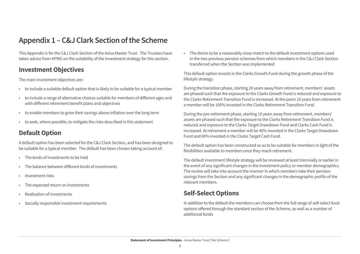# **Appendix 1 – C&J Clark Section of the Scheme**

This Appendix is for the C&J Clark Section of the Aviva Master Trust. The Trustees have taken advice from KPMG on the suitability of the investment strategy for this section.

#### **Investment Objectives**

The main investment objectives are:

- to include a suitable default option that is likely to be suitable for a typical member
- to include a range of alternative choices suitable for members of different ages and with different retirement benefit plans and objectives
- to enable members to grow their savings above inflation over the long term
- to seek, where possible, to mitigate the risks described in this statement

## **Default Option**

A default option has been selected for the C&J Clark Section, and has been designed to be suitable for a typical member. The default has been chosen taking account of:

- The kinds of investments to be held
- The balance between different kinds of investments
- Investment risks
- The expected return on investments
- Realisation of investments
- Socially responsible investment requirements

• The desire to be a reasonably close match to the default investment options used in the two previous pension schemes from which members in the C&J Clark Section transferred when the Section was implemented

This default option invests in the Clarks Growth Fund during the growth phase of the lifestyle strategy.

During the transition phase, starting 20 years away from retirement, members' assets are phased such that the exposure to the Clarks Growth Fund is reduced and exposure to the Clarks Retirement Transition Fund is increased. At the point 10 years from retirement a member will be 100% invested in the Clarks Retirement Transition Fund.

During the pre-retirement phase, starting 10 years away from retirement, members' assets are phased such that the exposure to the Clarks Retirement Transition Fund is reduced and exposure to the Clarks Target Drawdown Fund and Clarks Cash Fund is increased. At retirement a member will be 40% invested in the Clarks Target Drawdown Fund and 60% invested in the Clarks Target Cash Fund.

The default option has been constructed so as to be suitable for members in light of the flexibilities available to members once they reach retirement.

The default investment lifestyle strategy will be reviewed at least triennially or earlier in the event of any significant changes in the investment policy or member demographics. The review will take into account the manner in which members take their pension savings from the Section and any significant changes in the demographic profile of the relevant members.

## **Self-Select Options**

In addition to the default the members can choose from the full range of self-select fund options offered through the standard section of the Scheme, as well as a number of additional funds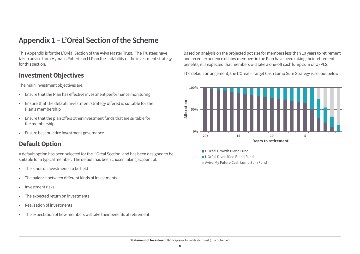# **Appendix 1 – L'Oréal Section of the Scheme**

This Appendix is for the L'Oréal Section of the Aviva Master Trust. The Trustees have taken advice from Hymans Robertson LLP on the suitability of the investment strategy for this section.

#### **Investment Objectives**

The main investment objectives are:

- Ensure that the Plan has effective investment performance monitoring
- Ensure that the default investment strategy offered is suitable for the Plan's membership
- Ensure that the plan offers other investment funds that are suitable for the membership
- Ensure best practice investment governance

#### **Default Option**

A default option has been selected for the L'Oréal Section, and has been designed to be suitable for a typical member. The default has been chosen taking account of:

- The kinds of investments to be held
- The balance between different kinds of investments
- Investment risks
- The expected return on investments
- Realisation of investments
- The expectation of how members will take their benefits at retirement.

Based on analysis on the projected pot size for members less than 10 years to retirement and recent experience of how members in the Plan have been taking their retirement benefits, it is expected that members will take a one-off cash lump sum or UFPLS.

The default arrangement, the L'Oreal – Target Cash Lump Sum Strategy is set out below:



L'Oréal Growth Blend Fund

- L'Oréal Diversified Blend Fund
- Aviva My Future Cash Lump Sum Fund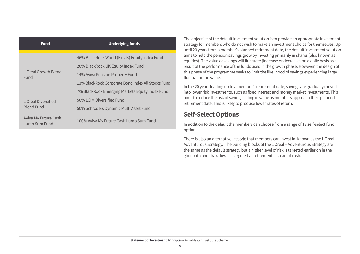| <b>Fund</b>                              | <b>Underlying funds</b>                            |
|------------------------------------------|----------------------------------------------------|
|                                          |                                                    |
| L'Oréal Growth Blend<br>Fund             | 46% BlackRock World (Ex-UK) Equity Index Fund      |
|                                          | 20% BlackRock UK Equity Index Fund                 |
|                                          | 14% Aviva Pension Property Fund                    |
|                                          | 13% BlackRock Corporate Bond Index All Stocks Fund |
|                                          | 7% BlackRock Emerging Markets Equity Index Fund    |
| l'Oréal Diversified<br><b>Blend Fund</b> | 50% I GIM Diversified Fund                         |
|                                          | 50% Schroders Dynamic Multi Asset Fund             |
| Aviva My Future Cash<br>Lump Sum Fund    | 100% Aviva My Future Cash Lump Sum Fund            |

The objective of the default investment solution is to provide an appropriate investment strategy for members who do not wish to make an investment choice for themselves. Up until 20 years from a member's planned retirement date, the default investment solution aims to help the pension savings grow by investing primarily in shares (also known as equities). The value of savings will fluctuate (increase or decrease) on a daily basis as a result of the performance of the funds used in the growth phase. However, the design of this phase of the programme seeks to limit the likelihood of savings experiencing large fluctuations in value.

In the 20 years leading up to a member's retirement date, savings are gradually moved into lower risk investments, such as fixed interest and money market investments. This aims to reduce the risk of savings falling in value as members approach their planned retirement date. This is likely to produce lower rates of return.

#### **Self-Select Options**

In addition to the default the members can choose from a range of 12 self-select fund options.

There is also an alternative lifestyle that members can invest in, known as the L'Oreal Adventurous Strategy. The building blocks of the L'Oreal – Adventurous Strategy are the same as the default strategy but a higher level of risk is targeted earlier on in the glidepath and drawdown is targeted at retirement instead of cash.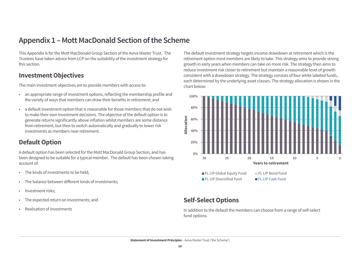## **Appendix 1 – Mott MacDonald Section of the Scheme**

This Appendix is for the Mott MacDonald Group Section of the Aviva Master Trust. The Trustees have taken advice from LCP on the suitability of the investment strategy for this section.

#### **Investment Objectives**

The main investment objectives are to provide members with access to:

- an appropriate range of investment options, reflecting the membership profile and the variety of ways that members can draw their benefits in retirement; and
- a default investment option that is reasonable for those members that do not wish to make their own investment decisions. The objective of the default option is to generate returns significantly above inflation whilst members are some distance from retirement, but then to switch automatically and gradually to lower risk investments as members near retirement.

#### **Default Option**

A default option has been selected for the Mott MacDonald Group Section, and has been designed to be suitable for a typical member. The default has been chosen taking account of:

- The kinds of investments to be held;
- The balance between different kinds of investments;
- Investment risks;
- The expected return on investments; and
- Realisation of investments

The default investment strategy targets income drawdown at retirement which is the retirement option most members are likely to take. This strategy aims to provide strong growth in early years when members can take on more risk. The strategy then aims to reduce investment risk closer to retirement but maintain a reasonable level of growth consistent with a drawdown strategy. The strategy consists of four white labeled funds, each determined by the underlying asset classes. The strategy allocation is shown in the chart below:



#### **Self-Select Options**

In addition to the default the members can choose from a range of self-select fund options.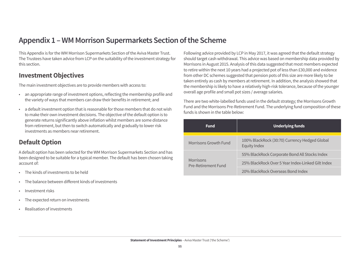## **Appendix 1 – WM Morrison Supermarkets Section of the Scheme**

This Appendix is for the WM Morrison Supermarkets Section of the Aviva Master Trust. The Trustees have taken advice from LCP on the suitability of the investment strategy for this section.

#### **Investment Objectives**

The main investment objectives are to provide members with access to:

- an appropriate range of investment options, reflecting the membership profile and the variety of ways that members can draw their benefits in retirement; and
- a default investment option that is reasonable for those members that do not wish to make their own investment decisions. The objective of the default option is to generate returns significantly above inflation whilst members are some distance from retirement, but then to switch automatically and gradually to lower risk investments as members near retirement.

## **Default Option**

A default option has been selected for the WM Morrison Supermarkets Section and has been designed to be suitable for a typical member. The default has been chosen taking account of:

- The kinds of investments to be held
- The balance between different kinds of investments
- Investment risks
- The expected return on investments
- Realisation of investments

Following advice provided by LCP in May 2017, it was agreed that the default strategy should target cash withdrawal. This advice was based on membership data provided by Morrisons in August 2015. Analysis of this data suggested that most members expected to retire within the next 10 years had a projected pot of less than £30,000 and evidence from other DC schemes suggested that pension pots of this size are more likely to be taken entirely as cash by members at retirement. In addition, the analysis showed that the membership is likely to have a relatively high-risk tolerance, because of the younger overall age profile and small pot sizes / average salaries.

There are two white-labelled funds used in the default strategy; the Morrisons Growth Fund and the Morrisons Pre-Retirement Fund. The underlying fund composition of these funds is shown in the table below:

| <b>Fund</b>                      | <b>Underlying funds</b>                                              |
|----------------------------------|----------------------------------------------------------------------|
| Morrisons Growth Fund            | 100% BlackRock (30:70) Currency Hedged Global<br><b>Equity Index</b> |
| Morrisons<br>Pre-Retirement Fund | 55% BlackRock Corporate Bond All Stocks Index                        |
|                                  | 25% BlackRock Over 5 Year Index-Linked Gilt Index                    |
|                                  | 20% BlackRock Overseas Bond Index                                    |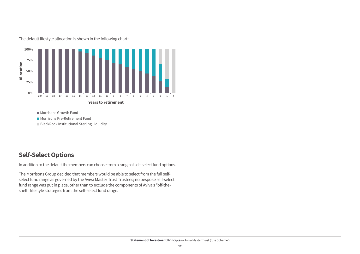

The default lifestyle allocation is shown in the following chart:

Morrisons Growth Fund

**Morrisons Pre-Retirement Fund** 

**BlackRock Institutional Sterling Liquidity** 

## **Self-Select Options**

In addition to the default the members can choose from a range of self-select fund options.

The Morrisons Group decided that members would be able to select from the full selfselect fund range as governed by the Aviva Master Trust Trustees; no bespoke self-select fund range was put in place, other than to exclude the components of Aviva's "off-theshelf" lifestyle strategies from the self-select fund range.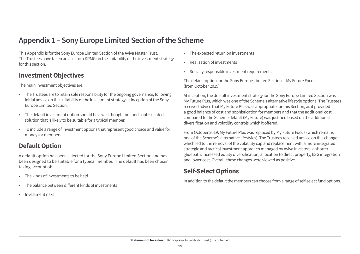# **Appendix 1 – Sony Europe Limited Section of the Scheme**

This Appendix is for the Sony Europe Limited Section of the Aviva Master Trust. The Trustees have taken advice from KPMG on the suitability of the investment strategy for this section.

#### **Investment Objectives**

The main investment objectives are:

- The Trustees are to retain sole responsibility for the ongoing governance, following initial advice on the suitability of the investment strategy at inception of the Sony Europe Limited Section.
- The default investment option should be a well thought out and sophisticated solution that is likely to be suitable for a typical member.
- To include a range of investment options that represent good choice and value for money for members.

## **Default Option**

A default option has been selected for the Sony Europe Limited Section and has been designed to be suitable for a typical member. The default has been chosen taking account of:

- The kinds of investments to be held
- The balance between different kinds of investments
- Investment risks
- The expected return on investments
- Realisation of investments
- Socially responsible investment requirements

The default option for the Sony Europe Limited Section is My Future Focus (from October 2019).

At inception, the default investment strategy for the Sony Europe Limited Section was My Future Plus, which was one of the Scheme's alternative lifestyle options. The Trustees received advice that My Future Plus was appropriate for this Section, as it provided a good balance of cost and sophistication for members and that the additional cost compared to the Scheme default (My Future) was justified based on the additional diversification and volatility controls which it offered.

From October 2019, My Future Plus was replaced by My Future Focus (which remains one of the Scheme's alternative lifestyles). The Trustees received advice on this change which led to the removal of the volatility cap and replacement with a more integrated strategic and tactical investment approach managed by Aviva Investors, a shorter glidepath, increased equity diversification, allocation to direct property, ESG integration and lower cost. Overall, these changes were viewed as positive.

## **Self-Select Options**

In addition to the default the members can choose from a range of self-select fund options.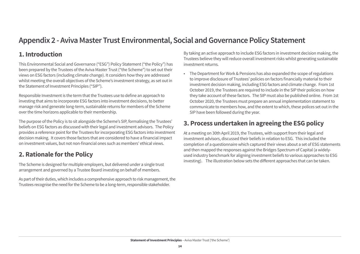# **Appendix 2 - Aviva Master Trust Environmental, Social and Governance Policy Statement**

### **1. Introduction**

This Environmental Social and Governance ("ESG") Policy Statement ("the Policy") has been prepared by the Trustees of the Aviva Master Trust ("the Scheme") to set out their views on ESG factors (including climate change). It considers how they are addressed whilst meeting the overall objectives of the Scheme's investment strategy, as set out in the Statement of Investment Principles ("SIP").

Responsible Investment is the term that the Trustees use to define an approach to investing that aims to incorporate ESG factors into investment decisions, to better manage risk and generate long-term, sustainable returns for members of the Scheme over the time horizons applicable to their membership.

The purpose of the Policy is to sit alongside the Scheme's SIP, formalising the Trustees' beliefs on ESG factors as discussed with their legal and investment advisors. The Policy provides a reference point for the Trustees for incorporating ESG factors into investment decision making. It covers those factors that are considered to have a financial impact on investment values, but not non-financial ones such as members' ethical views.

## **2. Rationale for the Policy**

The Scheme is designed for multiple employers, but delivered under a single trust arrangement and governed by a Trustee Board investing on behalf of members.

As part of their duties, which includes a comprehensive approach to risk management, the Trustees recognise the need for the Scheme to be a long-term, responsible stakeholder.

By taking an active approach to include ESG factors in investment decision making, the Trustees believe they will reduce overall investment risks whilst generating sustainable investment returns.

• The Department for Work & Pensions has also expanded the scope of regulations to improve disclosure of Trustees' policies on factors financially material to their investment decision making, including ESG factors and climate change. From 1st October 2019, the Trustees are required to include in the SIP their policies on how they take account of these factors. The SIP must also be published online. From 1st October 2020, the Trustees must prepare an annual implementation statement to communicate to members how, and the extent to which, these polices set out in the SIP have been followed during the year.

## **3. Process undertaken in agreeing the ESG policy**

At a meeting on 30th April 2019, the Trustees, with support from their legal and investment advisors, discussed their beliefs in relation to ESG. This included the completion of a questionnaire which captured their views about a set of ESG statements and then mapped the responses against the Bridges Spectrum of Capital (a widelyused industry benchmark for aligning investment beliefs to various approaches to ESG investing). The illustration below sets the different approaches that can be taken.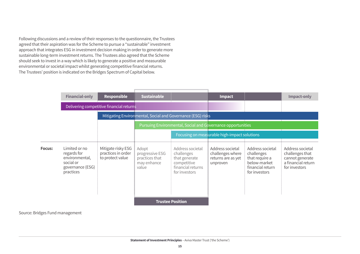Following discussions and a review of their responses to the questionnaire, the Trustees agreed that their aspiration was for the Scheme to pursue a "sustainable" investment approach that integrates ESG in investment decision making in order to generate more sustainable long-term investment returns. The Trustees also agreed that the Scheme should seek to invest in a way which is likely to generate a positive and measurable environmental or societal impact whilst generating competitive financial returns. The Trustees' position is indicated on the Bridges Spectrum of Capital below.

|                         | <b>Financial-only</b>                                                                        | <b>Responsible</b>                                           | <b>Sustainable</b>                                                 |                                                                                                      | <b>Impact</b>                                                          |                                                                                                       | <b>Impact-only</b>                                                                            |
|-------------------------|----------------------------------------------------------------------------------------------|--------------------------------------------------------------|--------------------------------------------------------------------|------------------------------------------------------------------------------------------------------|------------------------------------------------------------------------|-------------------------------------------------------------------------------------------------------|-----------------------------------------------------------------------------------------------|
|                         | Delivering competitive financial returns                                                     |                                                              |                                                                    |                                                                                                      |                                                                        |                                                                                                       |                                                                                               |
|                         |                                                                                              |                                                              |                                                                    | Mitigating Environmental, Social and Governance (ESG) risks                                          |                                                                        |                                                                                                       |                                                                                               |
|                         |                                                                                              |                                                              | Pursuing Environmental, Social and Governance opportunities        |                                                                                                      |                                                                        |                                                                                                       |                                                                                               |
|                         |                                                                                              |                                                              |                                                                    |                                                                                                      | Focusing on measurable high-impact solutions                           |                                                                                                       |                                                                                               |
| <b>Focus:</b>           | Limited or no<br>regards for<br>environmental,<br>social or<br>governance (ESG)<br>practices | Mitigate risky ESG<br>practices in order<br>to protect value | Adopt<br>progressive ESG<br>practices that<br>may enhance<br>value | Address societal<br>challenges<br>that generate<br>competitive<br>financial returns<br>for investors | Address societal<br>challenges where<br>returns are as yet<br>unproven | Address societal<br>challenges<br>that require a<br>below-market<br>financial return<br>for investors | Address societal<br>challenges that<br>cannot generate<br>a financial return<br>for investors |
| <b>Trustee Position</b> |                                                                                              |                                                              |                                                                    |                                                                                                      |                                                                        |                                                                                                       |                                                                                               |

Source: Bridges Fund management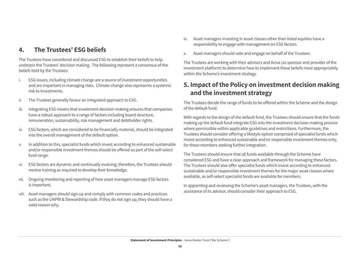#### **4. The Trustees' ESG beliefs**

The Trustees have considered and discussed ESG to establish their beliefs to help underpin the Trustees' decision making. The following represent a consensus of the beliefs held by the Trustees:

- i. ESG issues, including climate change are a source of investment opportunities and are important in managing risks. Climate change also represents a systemic risk to investments.
- ii. The Trustees generally favour an integrated approach to ESG.
- iii. Integrating ESG means that investment decision making ensures that companies have a robust approach to a range of factors including board structure, remuneration, sustainability, risk management and debtholder rights.
- iv. ESG factors, which are considered to be financially material, should be integrated into the overall management of the default option.
- v. In addition to this, specialist funds which invest according to enhanced sustainable and/or responsible investment themes should be offered as part of the self-select fund range.
- vi. ESG factors are dynamic and continually evolving; therefore, the Trustees should receive training as required to develop their knowledge.
- vii. Ongoing monitoring and reporting of how asset managers manage ESG factors is important.
- viii. Asset managers should sign up and comply with common codes and practices such as the UNPRI & Stewardship code. If they do not sign up, they should have a valid reason why.
- ix. Asset managers investing in asset classes other than listed equities have a responsibility to engage with management on ESG factors.
- x. Asset managers should vote and engage on behalf of the Trustees.

The Trustees are working with their advisors and Aviva (as sponsor and provider of the investment platform) to determine how to implement these beliefs most appropriately within the Scheme's investment strategy.

#### **5. Impact of the Policy on investment decision making and the investment strategy**

The Trustees decide the range of funds to be offered within the Scheme and the design of the default fund.

With regards to the design of the default fund, the Trustees should ensure that the funds making up the default fund integrate ESG into the investment decision making process where permissible within applicable guidelines and restrictions. Furthermore, the Trustees should consider offering a lifestyle option comprised of specialist funds which invest according to enhanced sustainable and/or responsible investment themes only, for those members seeking further integration.

The Trustees should ensure that all funds available through the Scheme have considered ESG and have a clear approach and framework for managing these factors. The Trustees should also offer specialist funds which invest according to enhanced sustainable and/or responsible investment themes for the major asset classes where available, as self-select specialist funds are available for members.

In appointing and reviewing the Scheme's asset managers, the Trustees, with the assistance of its advisor, should consider their approach to ESG.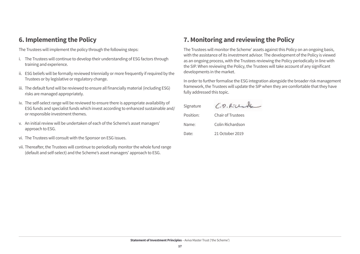#### **6. Implementing the Policy**

The Trustees will implement the policy through the following steps:

- i. The Trustees will continue to develop their understanding of ESG factors through training and experience.
- ii. ESG beliefs will be formally reviewed triennially or more frequently if required by the Trustees or by legislative or regulatory change.
- iii. The default fund will be reviewed to ensure all financially material (including ESG) risks are managed appropriately.
- iv. The self-select range will be reviewed to ensure there is appropriate availability of ESG funds and specialist funds which invest according to enhanced sustainable and/ or responsible investment themes.
- v. An initial review will be undertaken of each of the Scheme's asset managers' approach to ESG.
- vi. The Trustees will consult with the Sponsor on ESG issues.
- vii. Thereafter, the Trustees will continue to periodically monitor the whole fund range (default and self-select) and the Scheme's asset managers' approach to ESG.

### **7. Monitoring and reviewing the Policy**

The Trustees will monitor the Scheme' assets against this Policy on an ongoing basis, with the assistance of its investment advisor. The development of the Policy is viewed as an ongoing process, with the Trustees reviewing the Policy periodically in line with the SIP. When reviewing the Policy, the Trustees will take account of any significant developments in the market.

In order to further formalise the ESG integration alongside the broader risk management framework, the Trustees will update the SIP when they are comfortable that they have fully addressed this topic.

| Signature | C.D.R.Un          |
|-----------|-------------------|
| Position: | Chair of Trustees |
| Name:     | Colin Richardson  |
| Date:     | 21 October 2019   |